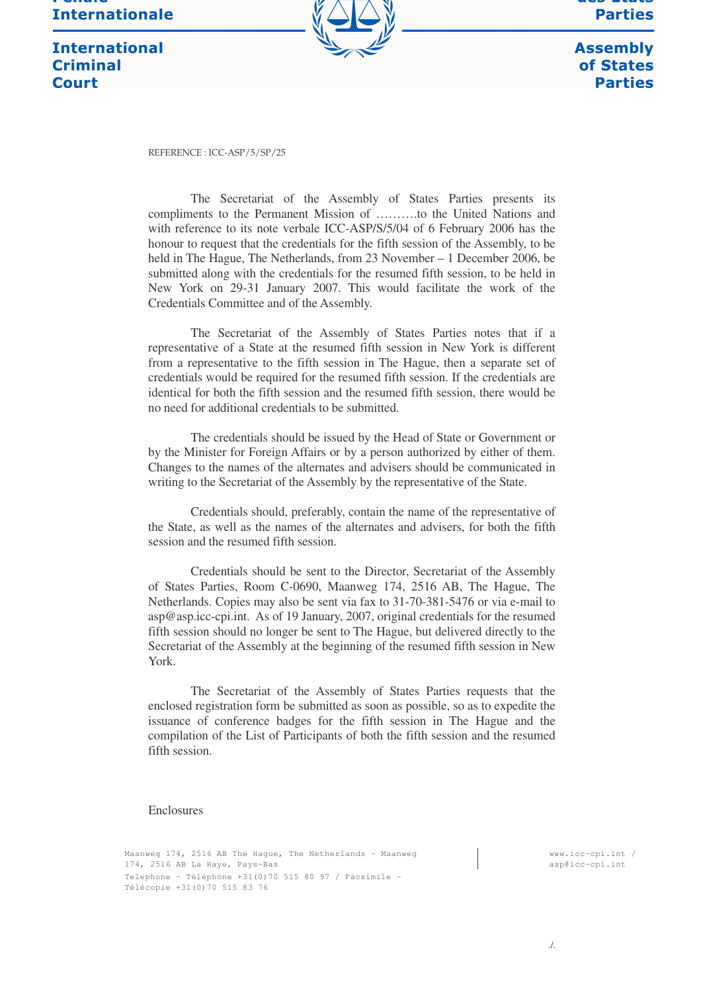**Internationale** 

**International Criminal Court** 



**Parties** 

**Assembly** of States **Parties** 

REFERENCE : ICC-ASP/5/SP/25

The Secretariat of the Assembly of States Parties presents its compliments to the Permanent Mission of ……….to the United Nations and with reference to its note verbale ICC-ASP/S/5/04 of 6 February 2006 has the honour to request that the credentials for the fifth session of the Assembly, to be held in The Hague, The Netherlands, from 23 November – 1 December 2006, be submitted along with the credentials for the resumed fifth session, to be held in New York on 29-31 January 2007. This would facilitate the work of the Credentials Committee and of the Assembly.

The Secretariat of the Assembly of States Parties notes that if a representative of a State at the resumed fifth session in New York is different from a representative to the fifth session in The Hague, then a separate set of credentials would be required for the resumed fifth session. If the credentials are identical for both the fifth session and the resumed fifth session, there would be no need for additional credentials to be submitted.

The credentials should be issued by the Head of State or Government or by the Minister for Foreign Affairs or by a person authorized by either of them. Changes to the names of the alternates and advisers should be communicated in writing to the Secretariat of the Assembly by the representative of the State.

Credentials should, preferably, contain the name of the representative of the State, as well as the names of the alternates and advisers, for both the fifth session and the resumed fifth session.

Credentials should be sent to the Director, Secretariat of the Assembly of States Parties, Room C-0690, Maanweg 174, 2516 AB, The Hague, The Netherlands. Copies may also be sent via fax to 31-70-381-5476 or via e-mail to asp@asp.icc-cpi.int. As of 19 January, 2007, original credentials for the resumed fifth session should no longer be sent to The Hague, but delivered directly to the Secretariat of the Assembly at the beginning of the resumed fifth session in New York.

The Secretariat of the Assembly of States Parties requests that the enclosed registration form be submitted as soon as possible, so as to expedite the issuance of conference badges for the fifth session in The Hague and the compilation of the List of Participants of both the fifth session and the resumed fifth session.

## Enclosures

Maanweg 174, 2516 AB The Hague, The Netherlands – Maanweg 174, 2516 AB La Haye, Pays-Bas Telephone – Téléphone +31(0)70 515 80 97 / Facsimile – Télécopie +31(0)70 515 83 76

www.icc-cpi.int / asp@icc-cpi.int